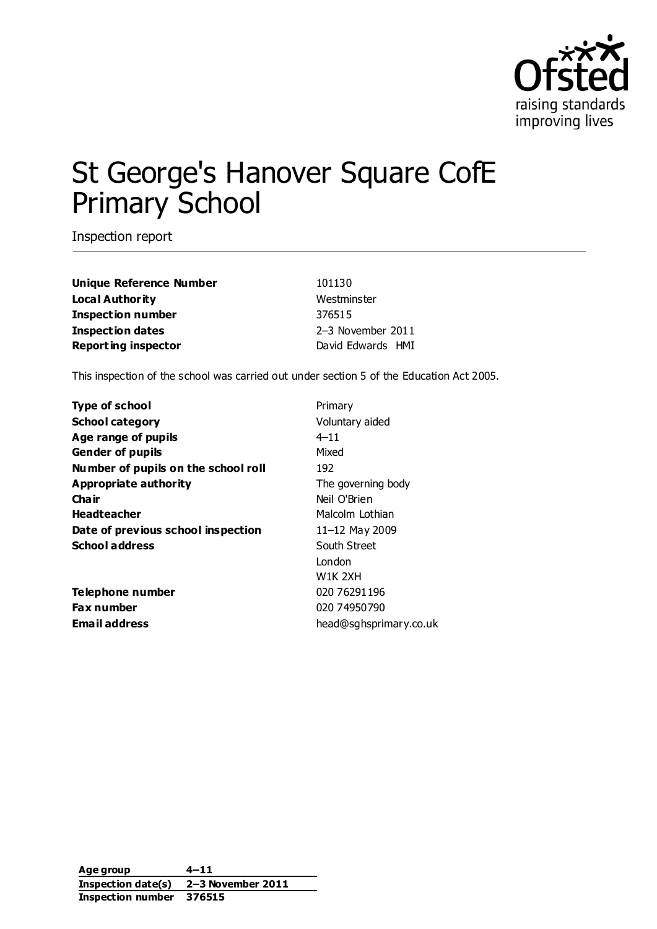

# St George's Hanover Square CofE Primary School

Inspection report

| 101130            |
|-------------------|
| Westminster       |
| 376515            |
| 2-3 November 2011 |
| David Edwards HMI |
|                   |

This inspection of the school was carried out under section 5 of the Education Act 2005.

| <b>Type of school</b>               | Primary                |
|-------------------------------------|------------------------|
| <b>School category</b>              | Voluntary aided        |
| Age range of pupils                 | $4 - 11$               |
| <b>Gender of pupils</b>             | Mixed                  |
| Number of pupils on the school roll | 192                    |
| Appropriate authority               | The governing body     |
| Cha ir                              | Neil O'Brien           |
| <b>Headteacher</b>                  | Malcolm Lothian        |
| Date of previous school inspection  | 11-12 May 2009         |
| <b>School address</b>               | South Street           |
|                                     | London                 |
|                                     | W1K 2XH                |
| Telephone number                    | 020 76291196           |
| Fax number                          | 020 74950790           |
| <b>Email address</b>                | head@sghsprimary.co.uk |

**Age group 4–11 Inspection date(s) 2–3 November 2011 Inspection number 376515**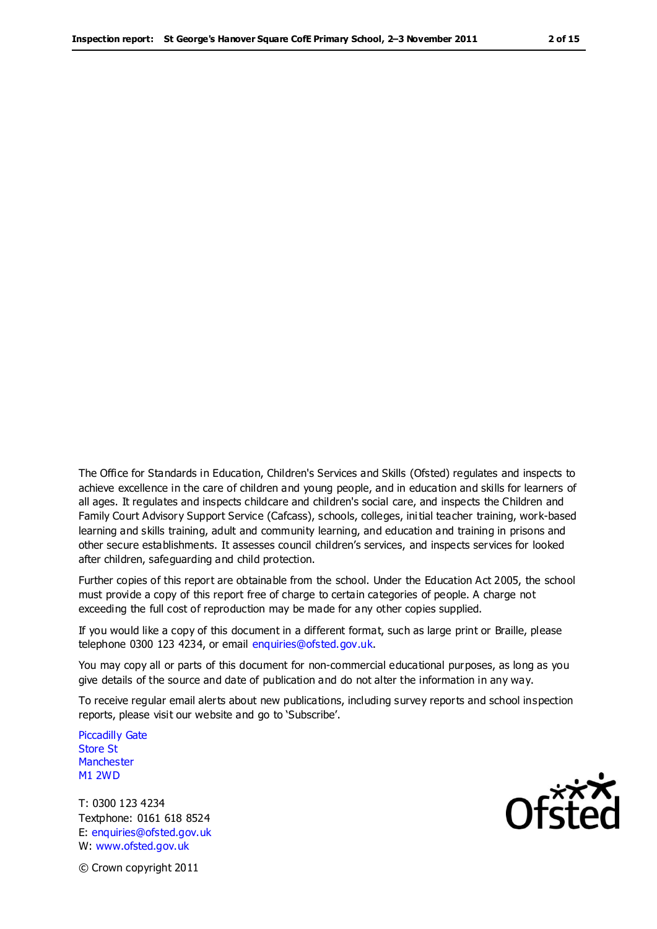The Office for Standards in Education, Children's Services and Skills (Ofsted) regulates and inspects to achieve excellence in the care of children and young people, and in education and skills for learners of all ages. It regulates and inspects childcare and children's social care, and inspects the Children and Family Court Advisory Support Service (Cafcass), schools, colleges, initial teacher training, work-based learning and skills training, adult and community learning, and education and training in prisons and other secure establishments. It assesses council children's services, and inspects services for looked after children, safeguarding and child protection.

Further copies of this report are obtainable from the school. Under the Education Act 2005, the school must provide a copy of this report free of charge to certain categories of people. A charge not exceeding the full cost of reproduction may be made for any other copies supplied.

If you would like a copy of this document in a different format, such as large print or Braille, please telephone 0300 123 4234, or email enquiries@ofsted.gov.uk.

You may copy all or parts of this document for non-commercial educational purposes, as long as you give details of the source and date of publication and do not alter the information in any way.

To receive regular email alerts about new publications, including survey reports and school inspection reports, please visit our website and go to 'Subscribe'.

Piccadilly Gate Store St **Manchester** M1 2WD

T: 0300 123 4234 Textphone: 0161 618 8524 E: enquiries@ofsted.gov.uk W: www.ofsted.gov.uk

Ofsted

© Crown copyright 2011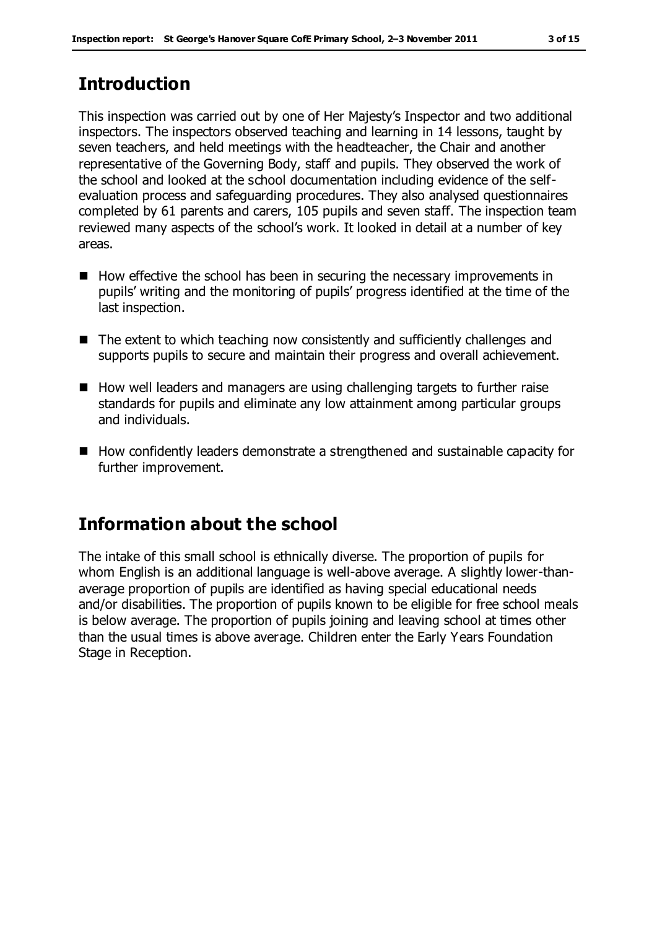# **Introduction**

This inspection was carried out by one of Her Majesty's Inspector and two additional inspectors. The inspectors observed teaching and learning in 14 lessons, taught by seven teachers, and held meetings with the headteacher, the Chair and another representative of the Governing Body, staff and pupils. They observed the work of the school and looked at the school documentation including evidence of the selfevaluation process and safeguarding procedures. They also analysed questionnaires completed by 61 parents and carers, 105 pupils and seven staff. The inspection team reviewed many aspects of the school's work. It looked in detail at a number of key areas.

- $\blacksquare$  How effective the school has been in securing the necessary improvements in pupils' writing and the monitoring of pupils' progress identified at the time of the last inspection.
- The extent to which teaching now consistently and sufficiently challenges and supports pupils to secure and maintain their progress and overall achievement.
- How well leaders and managers are using challenging targets to further raise standards for pupils and eliminate any low attainment among particular groups and individuals.
- How confidently leaders demonstrate a strengthened and sustainable capacity for further improvement.

# **Information about the school**

The intake of this small school is ethnically diverse. The proportion of pupils for whom English is an additional language is well-above average. A slightly lower-thanaverage proportion of pupils are identified as having special educational needs and/or disabilities. The proportion of pupils known to be eligible for free school meals is below average. The proportion of pupils joining and leaving school at times other than the usual times is above average. Children enter the Early Years Foundation Stage in Reception.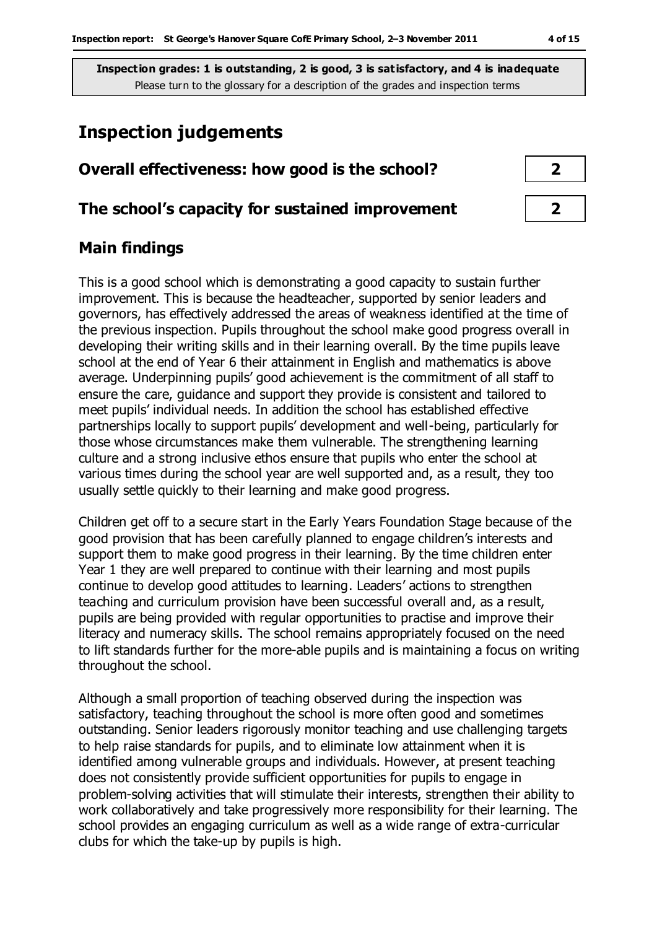# **Inspection judgements**

## **Overall effectiveness: how good is the school? 2**

#### **The school's capacity for sustained improvement 2**

## **Main findings**

This is a good school which is demonstrating a good capacity to sustain further improvement. This is because the headteacher, supported by senior leaders and governors, has effectively addressed the areas of weakness identified at the time of the previous inspection. Pupils throughout the school make good progress overall in developing their writing skills and in their learning overall. By the time pupils leave school at the end of Year 6 their attainment in English and mathematics is above average. Underpinning pupils' good achievement is the commitment of all staff to ensure the care, guidance and support they provide is consistent and tailored to meet pupils' individual needs. In addition the school has established effective partnerships locally to support pupils' development and well-being, particularly for those whose circumstances make them vulnerable. The strengthening learning culture and a strong inclusive ethos ensure that pupils who enter the school at various times during the school year are well supported and, as a result, they too usually settle quickly to their learning and make good progress.

Children get off to a secure start in the Early Years Foundation Stage because of the good provision that has been carefully planned to engage children's interests and support them to make good progress in their learning. By the time children enter Year 1 they are well prepared to continue with their learning and most pupils continue to develop good attitudes to learning. Leaders' actions to strengthen teaching and curriculum provision have been successful overall and, as a result, pupils are being provided with regular opportunities to practise and improve their literacy and numeracy skills. The school remains appropriately focused on the need to lift standards further for the more-able pupils and is maintaining a focus on writing throughout the school.

Although a small proportion of teaching observed during the inspection was satisfactory, teaching throughout the school is more often good and sometimes outstanding. Senior leaders rigorously monitor teaching and use challenging targets to help raise standards for pupils, and to eliminate low attainment when it is identified among vulnerable groups and individuals. However, at present teaching does not consistently provide sufficient opportunities for pupils to engage in problem-solving activities that will stimulate their interests, strengthen their ability to work collaboratively and take progressively more responsibility for their learning. The school provides an engaging curriculum as well as a wide range of extra-curricular clubs for which the take-up by pupils is high.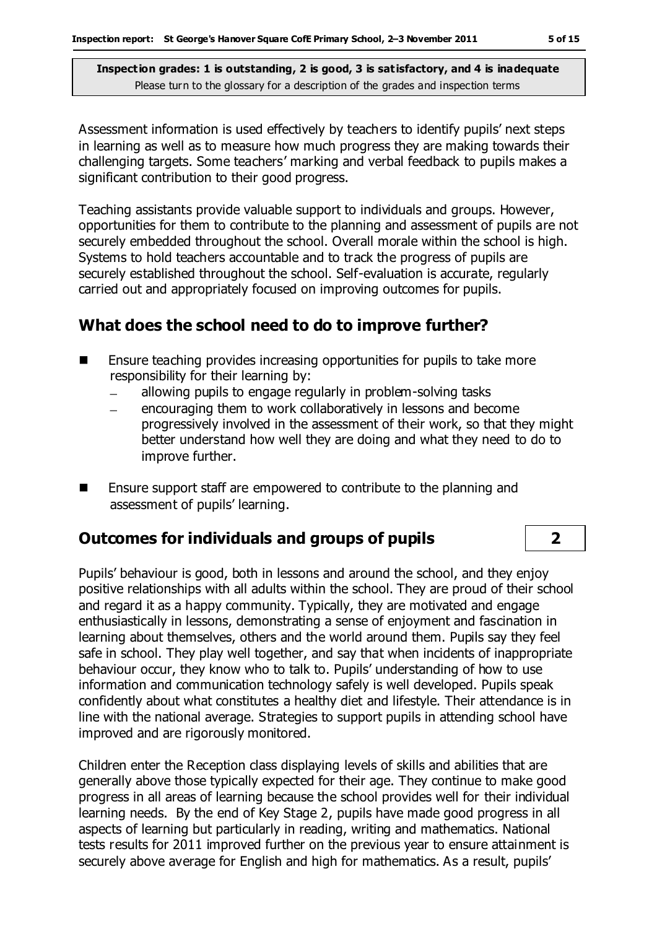Assessment information is used effectively by teachers to identify pupils' next steps in learning as well as to measure how much progress they are making towards their challenging targets. Some teachers' marking and verbal feedback to pupils makes a significant contribution to their good progress.

Teaching assistants provide valuable support to individuals and groups. However, opportunities for them to contribute to the planning and assessment of pupils are not securely embedded throughout the school. Overall morale within the school is high. Systems to hold teachers accountable and to track the progress of pupils are securely established throughout the school. Self-evaluation is accurate, regularly carried out and appropriately focused on improving outcomes for pupils.

# **What does the school need to do to improve further?**

- **E** Ensure teaching provides increasing opportunities for pupils to take more responsibility for their learning by:
	- allowing pupils to engage regularly in problem-solving tasks  $\overline{\phantom{0}}$
	- encouraging them to work collaboratively in lessons and become progressively involved in the assessment of their work, so that they might better understand how well they are doing and what they need to do to improve further.
- Ensure support staff are empowered to contribute to the planning and assessment of pupils' learning.

## **Outcomes for individuals and groups of pupils 2**

Pupils' behaviour is good, both in lessons and around the school, and they enjoy positive relationships with all adults within the school. They are proud of their school and regard it as a happy community. Typically, they are motivated and engage enthusiastically in lessons, demonstrating a sense of enjoyment and fascination in learning about themselves, others and the world around them. Pupils say they feel safe in school. They play well together, and say that when incidents of inappropriate behaviour occur, they know who to talk to. Pupils' understanding of how to use information and communication technology safely is well developed. Pupils speak confidently about what constitutes a healthy diet and lifestyle. Their attendance is in line with the national average. Strategies to support pupils in attending school have improved and are rigorously monitored.

Children enter the Reception class displaying levels of skills and abilities that are generally above those typically expected for their age. They continue to make good progress in all areas of learning because the school provides well for their individual learning needs. By the end of Key Stage 2, pupils have made good progress in all aspects of learning but particularly in reading, writing and mathematics. National tests results for 2011 improved further on the previous year to ensure attainment is securely above average for English and high for mathematics. As a result, pupils'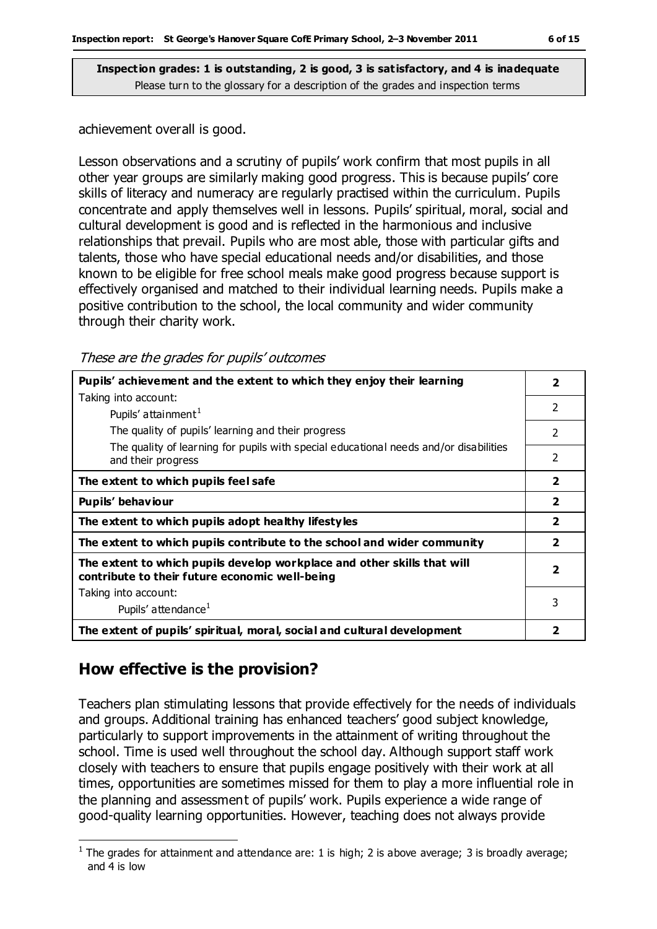achievement overall is good.

Lesson observations and a scrutiny of pupils' work confirm that most pupils in all other year groups are similarly making good progress. This is because pupils' core skills of literacy and numeracy are regularly practised within the curriculum. Pupils concentrate and apply themselves well in lessons. Pupils' spiritual, moral, social and cultural development is good and is reflected in the harmonious and inclusive relationships that prevail. Pupils who are most able, those with particular gifts and talents, those who have special educational needs and/or disabilities, and those known to be eligible for free school meals make good progress because support is effectively organised and matched to their individual learning needs. Pupils make a positive contribution to the school, the local community and wider community through their charity work.

These are the grades for pupils' outcomes

| Pupils' achievement and the extent to which they enjoy their learning                                                     | $\overline{\mathbf{2}}$ |
|---------------------------------------------------------------------------------------------------------------------------|-------------------------|
| Taking into account:                                                                                                      | $\overline{2}$          |
| Pupils' attainment <sup>1</sup>                                                                                           |                         |
| The quality of pupils' learning and their progress                                                                        | $\mathfrak{p}$          |
| The quality of learning for pupils with special educational needs and/or disabilities<br>and their progress               | 2                       |
| The extent to which pupils feel safe                                                                                      | $\overline{2}$          |
| Pupils' behaviour                                                                                                         | $\overline{\mathbf{2}}$ |
| The extent to which pupils adopt healthy lifestyles                                                                       | $\overline{2}$          |
| The extent to which pupils contribute to the school and wider community                                                   | $\overline{\mathbf{2}}$ |
| The extent to which pupils develop workplace and other skills that will<br>contribute to their future economic well-being | $\overline{2}$          |
| Taking into account:                                                                                                      |                         |
| Pupils' attendance <sup>1</sup>                                                                                           | 3                       |
| The extent of pupils' spiritual, moral, social and cultural development                                                   | 2                       |

## **How effective is the provision?**

 $\overline{a}$ 

Teachers plan stimulating lessons that provide effectively for the needs of individuals and groups. Additional training has enhanced teachers' good subject knowledge, particularly to support improvements in the attainment of writing throughout the school. Time is used well throughout the school day. Although support staff work closely with teachers to ensure that pupils engage positively with their work at all times, opportunities are sometimes missed for them to play a more influential role in the planning and assessment of pupils' work. Pupils experience a wide range of good-quality learning opportunities. However, teaching does not always provide

<sup>&</sup>lt;sup>1</sup> The grades for attainment and attendance are: 1 is high; 2 is above average; 3 is broadly average; and 4 is low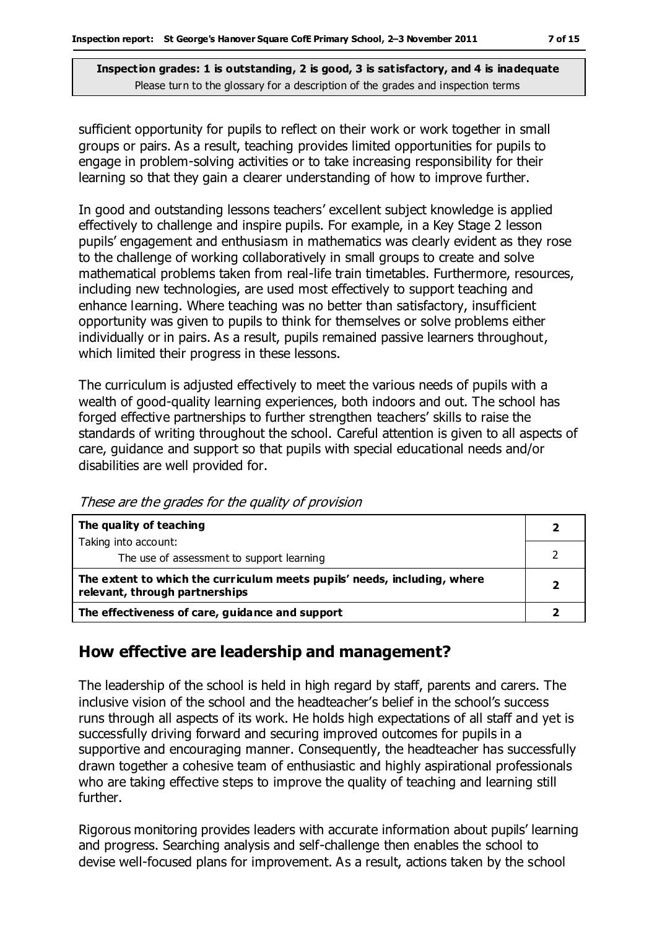sufficient opportunity for pupils to reflect on their work or work together in small groups or pairs. As a result, teaching provides limited opportunities for pupils to engage in problem-solving activities or to take increasing responsibility for their learning so that they gain a clearer understanding of how to improve further.

In good and outstanding lessons teachers' excellent subject knowledge is applied effectively to challenge and inspire pupils. For example, in a Key Stage 2 lesson pupils' engagement and enthusiasm in mathematics was clearly evident as they rose to the challenge of working collaboratively in small groups to create and solve mathematical problems taken from real-life train timetables. Furthermore, resources, including new technologies, are used most effectively to support teaching and enhance learning. Where teaching was no better than satisfactory, insufficient opportunity was given to pupils to think for themselves or solve problems either individually or in pairs. As a result, pupils remained passive learners throughout, which limited their progress in these lessons.

The curriculum is adjusted effectively to meet the various needs of pupils with a wealth of good-quality learning experiences, both indoors and out. The school has forged effective partnerships to further strengthen teachers' skills to raise the standards of writing throughout the school. Careful attention is given to all aspects of care, guidance and support so that pupils with special educational needs and/or disabilities are well provided for.

**The quality of teaching** Taking into account: The use of assessment to support learning **2** 2 **The extent to which the curriculum meets pupils' needs, including, where relevant, through partnerships <sup>2</sup> The effectiveness of care, guidance and support 2**

These are the grades for the quality of provision

## **How effective are leadership and management?**

The leadership of the school is held in high regard by staff, parents and carers. The inclusive vision of the school and the headteacher's belief in the school's success runs through all aspects of its work. He holds high expectations of all staff and yet is successfully driving forward and securing improved outcomes for pupils in a supportive and encouraging manner. Consequently, the headteacher has successfully drawn together a cohesive team of enthusiastic and highly aspirational professionals who are taking effective steps to improve the quality of teaching and learning still further.

Rigorous monitoring provides leaders with accurate information about pupils' learning and progress. Searching analysis and self-challenge then enables the school to devise well-focused plans for improvement. As a result, actions taken by the school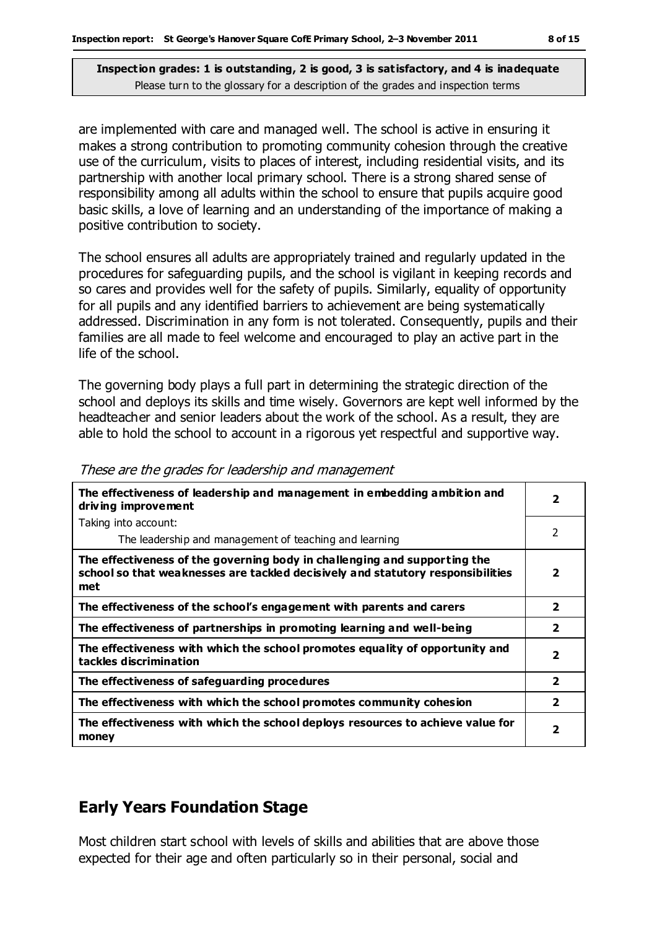are implemented with care and managed well. The school is active in ensuring it makes a strong contribution to promoting community cohesion through the creative use of the curriculum, visits to places of interest, including residential visits, and its partnership with another local primary school. There is a strong shared sense of responsibility among all adults within the school to ensure that pupils acquire good basic skills, a love of learning and an understanding of the importance of making a positive contribution to society.

The school ensures all adults are appropriately trained and regularly updated in the procedures for safeguarding pupils, and the school is vigilant in keeping records and so cares and provides well for the safety of pupils. Similarly, equality of opportunity for all pupils and any identified barriers to achievement are being systematically addressed. Discrimination in any form is not tolerated. Consequently, pupils and their families are all made to feel welcome and encouraged to play an active part in the life of the school.

The governing body plays a full part in determining the strategic direction of the school and deploys its skills and time wisely. Governors are kept well informed by the headteacher and senior leaders about the work of the school. As a result, they are able to hold the school to account in a rigorous yet respectful and supportive way.

| The effectiveness of leadership and management in embedding ambition and<br>driving improvement                                                                     | $\overline{\mathbf{2}}$ |
|---------------------------------------------------------------------------------------------------------------------------------------------------------------------|-------------------------|
| Taking into account:                                                                                                                                                |                         |
| The leadership and management of teaching and learning                                                                                                              | 2                       |
| The effectiveness of the governing body in challenging and supporting the<br>school so that weaknesses are tackled decisively and statutory responsibilities<br>met | $\overline{\mathbf{2}}$ |
| The effectiveness of the school's engagement with parents and carers                                                                                                | $\overline{\mathbf{2}}$ |
| The effectiveness of partnerships in promoting learning and well-being                                                                                              | $\overline{\mathbf{2}}$ |
| The effectiveness with which the school promotes equality of opportunity and<br>tackles discrimination                                                              | $\overline{\mathbf{2}}$ |
| The effectiveness of safeguarding procedures                                                                                                                        | $\overline{2}$          |
| The effectiveness with which the school promotes community cohesion                                                                                                 | $\overline{2}$          |
| The effectiveness with which the school deploys resources to achieve value for<br>money                                                                             | 2                       |

|  |  | These are the grades for leadership and management |
|--|--|----------------------------------------------------|
|  |  |                                                    |

# **Early Years Foundation Stage**

Most children start school with levels of skills and abilities that are above those expected for their age and often particularly so in their personal, social and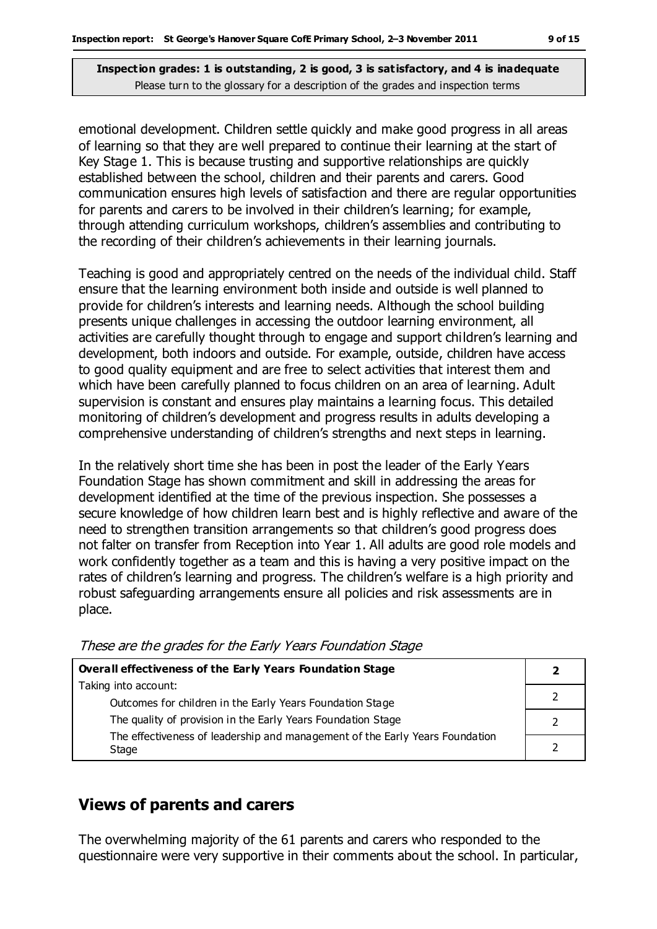emotional development. Children settle quickly and make good progress in all areas of learning so that they are well prepared to continue their learning at the start of Key Stage 1. This is because trusting and supportive relationships are quickly established between the school, children and their parents and carers. Good communication ensures high levels of satisfaction and there are regular opportunities for parents and carers to be involved in their children's learning; for example, through attending curriculum workshops, children's assemblies and contributing to the recording of their children's achievements in their learning journals.

Teaching is good and appropriately centred on the needs of the individual child. Staff ensure that the learning environment both inside and outside is well planned to provide for children's interests and learning needs. Although the school building presents unique challenges in accessing the outdoor learning environment, all activities are carefully thought through to engage and support children's learning and development, both indoors and outside. For example, outside, children have access to good quality equipment and are free to select activities that interest them and which have been carefully planned to focus children on an area of learning. Adult supervision is constant and ensures play maintains a learning focus. This detailed monitoring of children's development and progress results in adults developing a comprehensive understanding of children's strengths and next steps in learning.

In the relatively short time she has been in post the leader of the Early Years Foundation Stage has shown commitment and skill in addressing the areas for development identified at the time of the previous inspection. She possesses a secure knowledge of how children learn best and is highly reflective and aware of the need to strengthen transition arrangements so that children's good progress does not falter on transfer from Reception into Year 1. All adults are good role models and work confidently together as a team and this is having a very positive impact on the rates of children's learning and progress. The children's welfare is a high priority and robust safeguarding arrangements ensure all policies and risk assessments are in place.

| <b>Overall effectiveness of the Early Years Foundation Stage</b>                                                          |  |
|---------------------------------------------------------------------------------------------------------------------------|--|
| Taking into account:                                                                                                      |  |
| Outcomes for children in the Early Years Foundation Stage<br>The quality of provision in the Early Years Foundation Stage |  |
| The effectiveness of leadership and management of the Early Years Foundation<br>Stage                                     |  |

#### These are the grades for the Early Years Foundation Stage

#### **Views of parents and carers**

The overwhelming majority of the 61 parents and carers who responded to the questionnaire were very supportive in their comments about the school. In particular,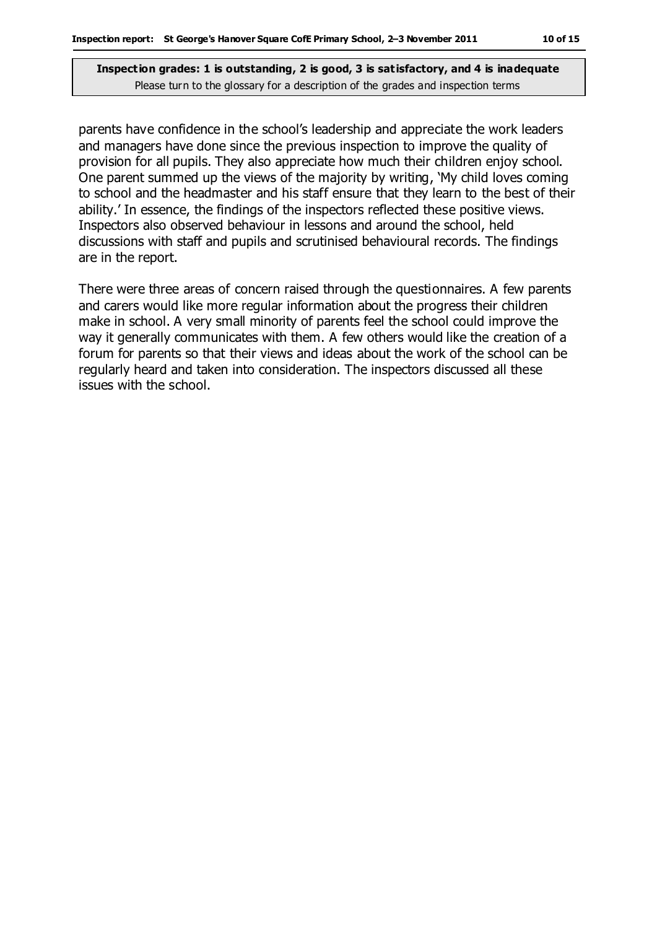parents have confidence in the school's leadership and appreciate the work leaders and managers have done since the previous inspection to improve the quality of provision for all pupils. They also appreciate how much their children enjoy school. One parent summed up the views of the majority by writing, 'My child loves coming to school and the headmaster and his staff ensure that they learn to the best of their ability.' In essence, the findings of the inspectors reflected these positive views. Inspectors also observed behaviour in lessons and around the school, held discussions with staff and pupils and scrutinised behavioural records. The findings are in the report.

There were three areas of concern raised through the questionnaires. A few parents and carers would like more regular information about the progress their children make in school. A very small minority of parents feel the school could improve the way it generally communicates with them. A few others would like the creation of a forum for parents so that their views and ideas about the work of the school can be regularly heard and taken into consideration. The inspectors discussed all these issues with the school.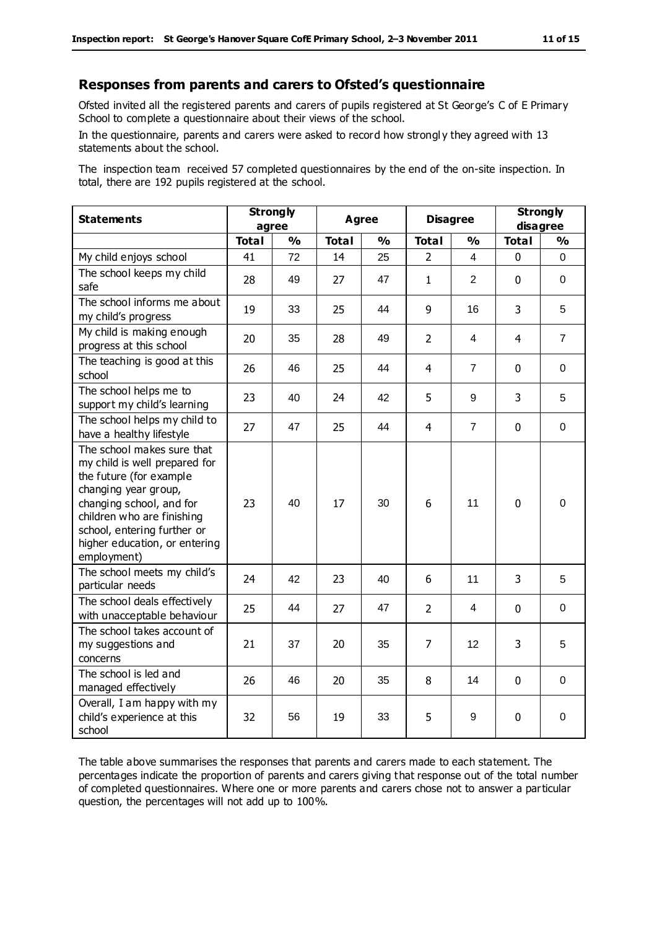#### **Responses from parents and carers to Ofsted's questionnaire**

Ofsted invited all the registered parents and carers of pupils registered at St George's C of E Primary School to complete a questionnaire about their views of the school.

In the questionnaire, parents and carers were asked to record how strongl y they agreed with 13 statements about the school.

The inspection team received 57 completed questionnaires by the end of the on-site inspection. In total, there are 192 pupils registered at the school.

| <b>Statements</b>                                                                                                                                                                                                                                       | <b>Strongly</b><br>agree |               | <b>Agree</b> |               | <b>Disagree</b> |                   | <b>Strongly</b><br>disagree |                |
|---------------------------------------------------------------------------------------------------------------------------------------------------------------------------------------------------------------------------------------------------------|--------------------------|---------------|--------------|---------------|-----------------|-------------------|-----------------------------|----------------|
|                                                                                                                                                                                                                                                         | <b>Total</b>             | $\frac{1}{2}$ | <b>Total</b> | $\frac{1}{2}$ | <b>Total</b>    | $\frac{1}{2}$     | <b>Total</b>                | $\frac{1}{2}$  |
| My child enjoys school                                                                                                                                                                                                                                  | 41                       | 72            | 14           | 25            | $\overline{2}$  | 4                 | $\mathbf 0$                 | 0              |
| The school keeps my child<br>safe                                                                                                                                                                                                                       | 28                       | 49            | 27           | 47            | $\mathbf{1}$    | $\overline{2}$    | $\mathbf 0$                 | 0              |
| The school informs me about<br>my child's progress                                                                                                                                                                                                      | 19                       | 33            | 25           | 44            | 9               | 16                | 3                           | 5              |
| My child is making enough<br>progress at this school                                                                                                                                                                                                    | 20                       | 35            | 28           | 49            | $\overline{2}$  | 4                 | 4                           | $\overline{7}$ |
| The teaching is good at this<br>school                                                                                                                                                                                                                  | 26                       | 46            | 25           | 44            | 4               | $\overline{7}$    | $\mathbf 0$                 | 0              |
| The school helps me to<br>support my child's learning                                                                                                                                                                                                   | 23                       | 40            | 24           | 42            | 5               | 9                 | 3                           | 5              |
| The school helps my child to<br>have a healthy lifestyle                                                                                                                                                                                                | 27                       | 47            | 25           | 44            | $\overline{4}$  | $\overline{7}$    | $\mathbf 0$                 | $\pmb{0}$      |
| The school makes sure that<br>my child is well prepared for<br>the future (for example<br>changing year group,<br>changing school, and for<br>children who are finishing<br>school, entering further or<br>higher education, or entering<br>employment) | 23                       | 40            | 17           | 30            | 6               | 11                | $\mathbf{0}$                | $\Omega$       |
| The school meets my child's<br>particular needs                                                                                                                                                                                                         | 24                       | 42            | 23           | 40            | 6               | 11                | 3                           | 5              |
| The school deals effectively<br>with unacceptable behaviour                                                                                                                                                                                             | 25                       | 44            | 27           | 47            | $\overline{2}$  | 4                 | $\mathbf 0$                 | $\mathbf 0$    |
| The school takes account of<br>my suggestions and<br>concerns                                                                                                                                                                                           | 21                       | 37            | 20           | 35            | 7               | $12 \overline{ }$ | 3                           | 5              |
| The school is led and<br>managed effectively                                                                                                                                                                                                            | 26                       | 46            | 20           | 35            | 8               | 14                | $\mathbf 0$                 | $\mathbf 0$    |
| Overall, I am happy with my<br>child's experience at this<br>school                                                                                                                                                                                     | 32                       | 56            | 19           | 33            | 5               | 9                 | $\mathbf 0$                 | $\mathbf 0$    |

The table above summarises the responses that parents and carers made to each statement. The percentages indicate the proportion of parents and carers giving that response out of the total number of completed questionnaires. Where one or more parents and carers chose not to answer a particular question, the percentages will not add up to 100%.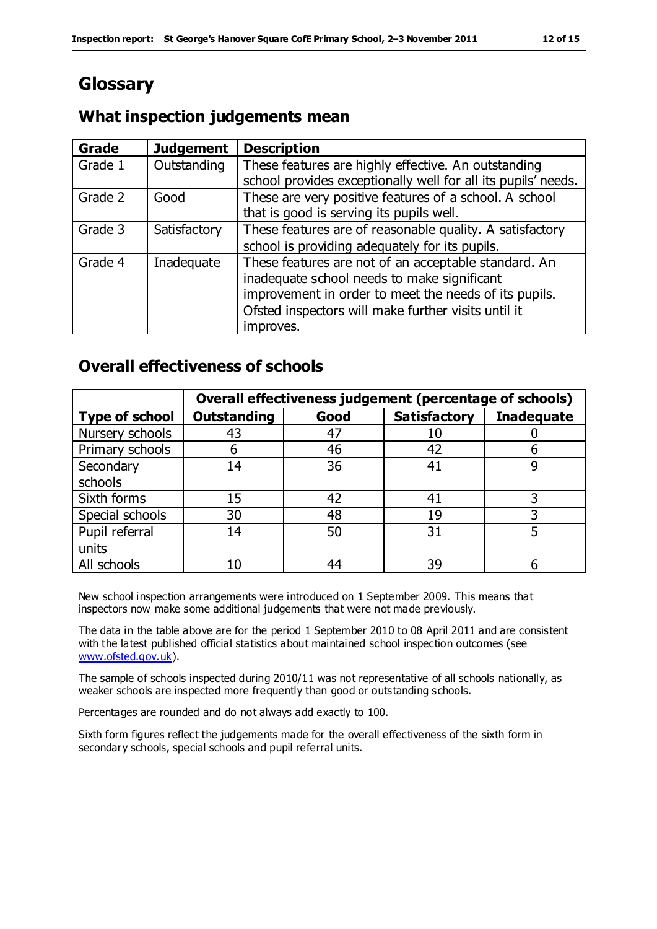# **Glossary**

# **What inspection judgements mean**

| Grade   | <b>Judgement</b> | <b>Description</b>                                            |
|---------|------------------|---------------------------------------------------------------|
| Grade 1 | Outstanding      | These features are highly effective. An outstanding           |
|         |                  | school provides exceptionally well for all its pupils' needs. |
| Grade 2 | Good             | These are very positive features of a school. A school        |
|         |                  | that is good is serving its pupils well.                      |
| Grade 3 | Satisfactory     | These features are of reasonable quality. A satisfactory      |
|         |                  | school is providing adequately for its pupils.                |
| Grade 4 | Inadequate       | These features are not of an acceptable standard. An          |
|         |                  | inadequate school needs to make significant                   |
|         |                  | improvement in order to meet the needs of its pupils.         |
|         |                  | Ofsted inspectors will make further visits until it           |
|         |                  | improves.                                                     |

# **Overall effectiveness of schools**

|                 |                    |      | Overall effectiveness judgement (percentage of schools) |                   |
|-----------------|--------------------|------|---------------------------------------------------------|-------------------|
| Type of school  | <b>Outstanding</b> | Good | <b>Satisfactory</b>                                     | <b>Inadequate</b> |
| Nursery schools | 43                 | 47   | 10                                                      |                   |
| Primary schools | 6                  | 46   | 42                                                      |                   |
| Secondary       | 14                 | 36   | 41                                                      |                   |
| schools         |                    |      |                                                         |                   |
| Sixth forms     | 15                 | 42   | 41                                                      | 3                 |
| Special schools | 30                 | 48   | 19                                                      |                   |
| Pupil referral  | 14                 | 50   | 31                                                      |                   |
| units           |                    |      |                                                         |                   |
| All schools     | 10                 | 44   | 39                                                      |                   |

New school inspection arrangements were introduced on 1 September 2009. This means that inspectors now make some additional judgements that were not made previously.

The data in the table above are for the period 1 September 2010 to 08 April 2011 and are consistent with the latest published official statistics about maintained school inspection outcomes (see [www.ofsted.gov.uk\)](http://www.ofsted.gov.uk/).

The sample of schools inspected during 2010/11 was not representative of all schools nationally, as weaker schools are inspected more frequently than good or outstanding schools.

Percentages are rounded and do not always add exactly to 100.

Sixth form figures reflect the judgements made for the overall effectiveness of the sixth form in secondary schools, special schools and pupil referral units.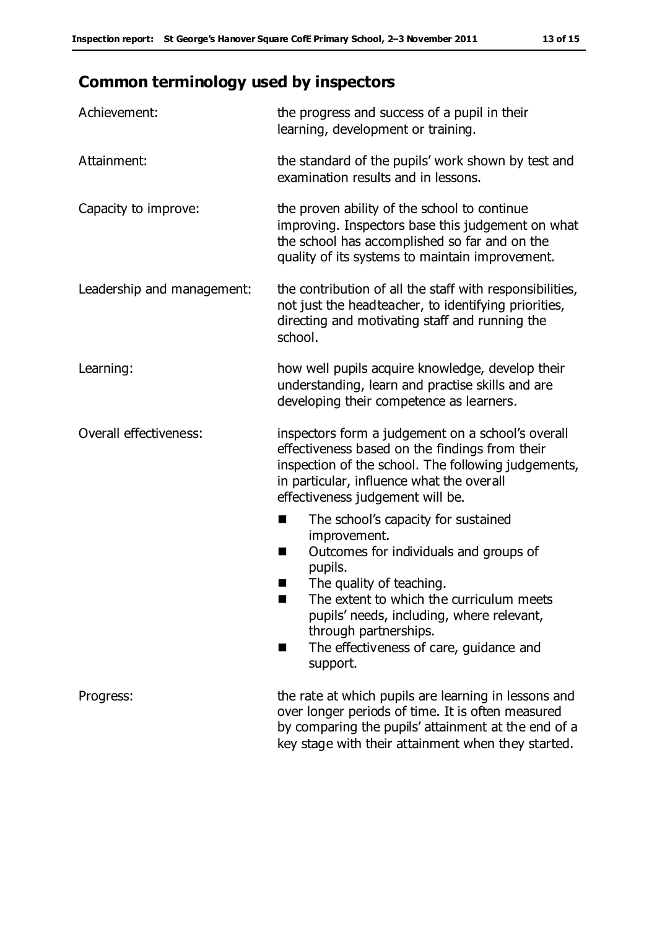# **Common terminology used by inspectors**

| Achievement:                  | the progress and success of a pupil in their<br>learning, development or training.                                                                                                                                                                                                                                           |
|-------------------------------|------------------------------------------------------------------------------------------------------------------------------------------------------------------------------------------------------------------------------------------------------------------------------------------------------------------------------|
| Attainment:                   | the standard of the pupils' work shown by test and<br>examination results and in lessons.                                                                                                                                                                                                                                    |
| Capacity to improve:          | the proven ability of the school to continue<br>improving. Inspectors base this judgement on what<br>the school has accomplished so far and on the<br>quality of its systems to maintain improvement.                                                                                                                        |
| Leadership and management:    | the contribution of all the staff with responsibilities,<br>not just the headteacher, to identifying priorities,<br>directing and motivating staff and running the<br>school.                                                                                                                                                |
| Learning:                     | how well pupils acquire knowledge, develop their<br>understanding, learn and practise skills and are<br>developing their competence as learners.                                                                                                                                                                             |
| <b>Overall effectiveness:</b> | inspectors form a judgement on a school's overall<br>effectiveness based on the findings from their<br>inspection of the school. The following judgements,<br>in particular, influence what the overall<br>effectiveness judgement will be.                                                                                  |
|                               | The school's capacity for sustained<br>ш<br>improvement.<br>Outcomes for individuals and groups of<br>п<br>pupils.<br>The quality of teaching.<br>The extent to which the curriculum meets<br>pupils' needs, including, where relevant,<br>through partnerships.<br>The effectiveness of care, guidance and<br>٠<br>support. |
| Progress:                     | the rate at which pupils are learning in lessons and<br>over longer periods of time. It is often measured<br>by comparing the pupils' attainment at the end of a<br>key stage with their attainment when they started.                                                                                                       |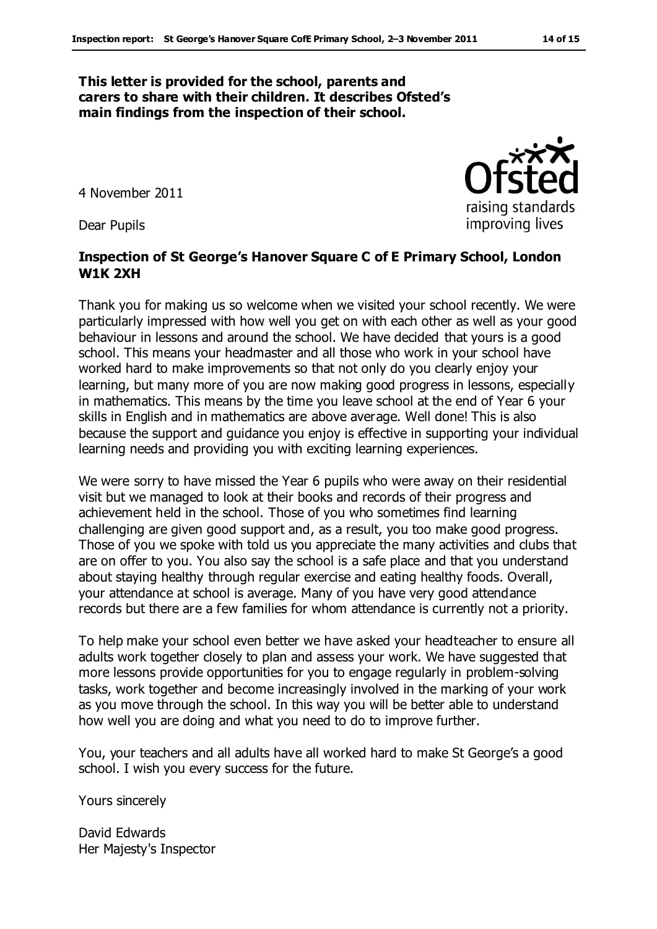#### **This letter is provided for the school, parents and carers to share with their children. It describes Ofsted's main findings from the inspection of their school.**

4 November 2011

Dear Pupils

#### **Inspection of St George's Hanover Square C of E Primary School, London W1K 2XH**

Thank you for making us so welcome when we visited your school recently. We were particularly impressed with how well you get on with each other as well as your good behaviour in lessons and around the school. We have decided that yours is a good school. This means your headmaster and all those who work in your school have worked hard to make improvements so that not only do you clearly enjoy your learning, but many more of you are now making good progress in lessons, especially in mathematics. This means by the time you leave school at the end of Year 6 your skills in English and in mathematics are above average. Well done! This is also because the support and guidance you enjoy is effective in supporting your individual learning needs and providing you with exciting learning experiences.

We were sorry to have missed the Year 6 pupils who were away on their residential visit but we managed to look at their books and records of their progress and achievement held in the school. Those of you who sometimes find learning challenging are given good support and, as a result, you too make good progress. Those of you we spoke with told us you appreciate the many activities and clubs that are on offer to you. You also say the school is a safe place and that you understand about staying healthy through regular exercise and eating healthy foods. Overall, your attendance at school is average. Many of you have very good attendance records but there are a few families for whom attendance is currently not a priority.

To help make your school even better we have asked your headteacher to ensure all adults work together closely to plan and assess your work. We have suggested that more lessons provide opportunities for you to engage regularly in problem-solving tasks, work together and become increasingly involved in the marking of your work as you move through the school. In this way you will be better able to understand how well you are doing and what you need to do to improve further.

You, your teachers and all adults have all worked hard to make St George's a good school. I wish you every success for the future.

Yours sincerely

David Edwards Her Majesty's Inspector